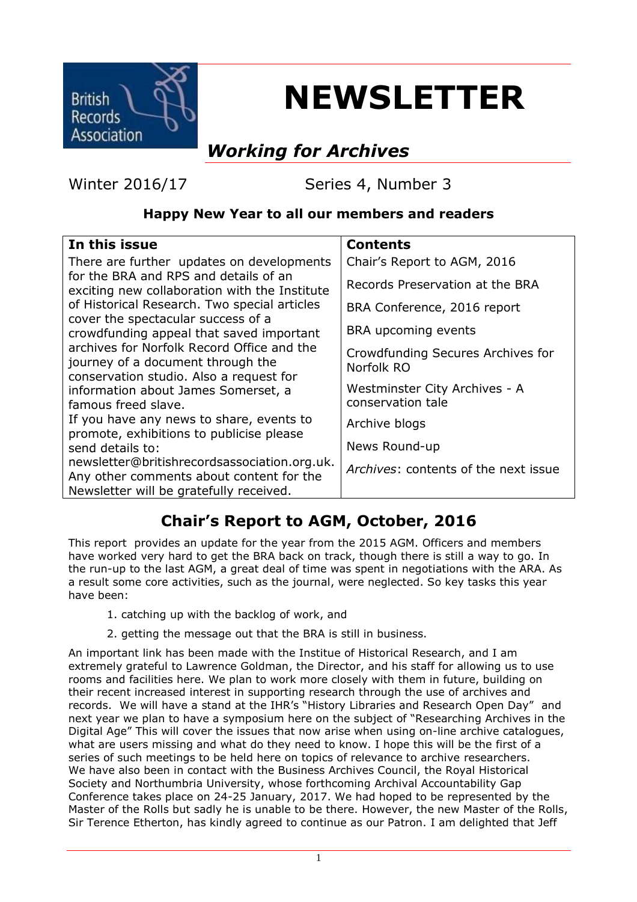

# **NEWSLETTER**

# *Working for Archives*

Winter 2016/17 Series 4, Number 3

#### **Happy New Year to all our members and readers**

| In this issue                                                                                                              | <b>Contents</b>                                    |
|----------------------------------------------------------------------------------------------------------------------------|----------------------------------------------------|
| There are further updates on developments                                                                                  | Chair's Report to AGM, 2016                        |
| for the BRA and RPS and details of an<br>exciting new collaboration with the Institute                                     | Records Preservation at the BRA                    |
| of Historical Research. Two special articles                                                                               | BRA Conference, 2016 report                        |
| cover the spectacular success of a<br>crowdfunding appeal that saved important                                             | BRA upcoming events                                |
| archives for Norfolk Record Office and the<br>journey of a document through the<br>conservation studio. Also a request for | Crowdfunding Secures Archives for<br>Norfolk RO    |
| information about James Somerset, a<br>famous freed slave.                                                                 | Westminster City Archives - A<br>conservation tale |
| If you have any news to share, events to                                                                                   | Archive blogs                                      |
| promote, exhibitions to publicise please<br>send details to:                                                               | News Round-up                                      |
| newsletter@britishrecordsassociation.org.uk.<br>Any other comments about content for the                                   | Archives: contents of the next issue               |
| Newsletter will be gratefully received.                                                                                    |                                                    |
|                                                                                                                            |                                                    |

## **Chair's Report to AGM, October, 2016**

This report provides an update for the year from the 2015 AGM. Officers and members have worked very hard to get the BRA back on track, though there is still a way to go. In the run-up to the last AGM, a great deal of time was spent in negotiations with the ARA. As a result some core activities, such as the journal, were neglected. So key tasks this year have been:

- 1. catching up with the backlog of work, and
- 2. getting the message out that the BRA is still in business.

An important link has been made with the Institue of Historical Research, and I am extremely grateful to Lawrence Goldman, the Director, and his staff for allowing us to use rooms and facilities here. We plan to work more closely with them in future, building on their recent increased interest in supporting research through the use of archives and records. We will have a stand at the IHR's "History Libraries and Research Open Day" and next year we plan to have a symposium here on the subject of "Researching Archives in the Digital Age" This will cover the issues that now arise when using on-line archive catalogues, what are users missing and what do they need to know. I hope this will be the first of a series of such meetings to be held here on topics of relevance to archive researchers. We have also been in contact with the Business Archives Council, the Royal Historical Society and Northumbria University, whose forthcoming Archival Accountability Gap Conference takes place on 24-25 January, 2017. We had hoped to be represented by the Master of the Rolls but sadly he is unable to be there. However, the new Master of the Rolls, Sir Terence Etherton, has kindly agreed to continue as our Patron. I am delighted that Jeff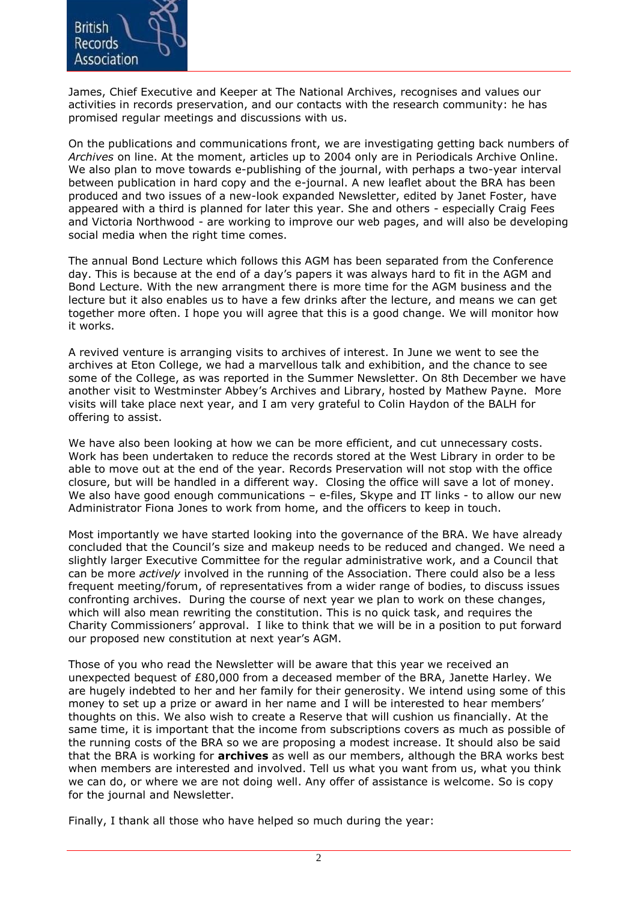

James, Chief Executive and Keeper at The National Archives, recognises and values our activities in records preservation, and our contacts with the research community: he has promised regular meetings and discussions with us.

On the publications and communications front, we are investigating getting back numbers of *Archives* on line. At the moment, articles up to 2004 only are in Periodicals Archive Online. We also plan to move towards e-publishing of the journal, with perhaps a two-year interval between publication in hard copy and the e-journal. A new leaflet about the BRA has been produced and two issues of a new-look expanded Newsletter, edited by Janet Foster, have appeared with a third is planned for later this year. She and others - especially Craig Fees and Victoria Northwood - are working to improve our web pages, and will also be developing social media when the right time comes.

The annual Bond Lecture which follows this AGM has been separated from the Conference day. This is because at the end of a day's papers it was always hard to fit in the AGM and Bond Lecture. With the new arrangment there is more time for the AGM business and the lecture but it also enables us to have a few drinks after the lecture, and means we can get together more often. I hope you will agree that this is a good change. We will monitor how it works.

A revived venture is arranging visits to archives of interest. In June we went to see the archives at Eton College, we had a marvellous talk and exhibition, and the chance to see some of the College, as was reported in the Summer Newsletter. On 8th December we have another visit to Westminster Abbey's Archives and Library, hosted by Mathew Payne. More visits will take place next year, and I am very grateful to Colin Haydon of the BALH for offering to assist.

We have also been looking at how we can be more efficient, and cut unnecessary costs. Work has been undertaken to reduce the records stored at the West Library in order to be able to move out at the end of the year. Records Preservation will not stop with the office closure, but will be handled in a different way. Closing the office will save a lot of money. We also have good enough communications – e-files, Skype and IT links - to allow our new Administrator Fiona Jones to work from home, and the officers to keep in touch.

Most importantly we have started looking into the governance of the BRA. We have already concluded that the Council's size and makeup needs to be reduced and changed. We need a slightly larger Executive Committee for the regular administrative work, and a Council that can be more *actively* involved in the running of the Association. There could also be a less frequent meeting/forum, of representatives from a wider range of bodies, to discuss issues confronting archives. During the course of next year we plan to work on these changes, which will also mean rewriting the constitution. This is no quick task, and requires the Charity Commissioners' approval. I like to think that we will be in a position to put forward our proposed new constitution at next year's AGM.

Those of you who read the Newsletter will be aware that this year we received an unexpected bequest of £80,000 from a deceased member of the BRA, Janette Harley. We are hugely indebted to her and her family for their generosity. We intend using some of this money to set up a prize or award in her name and I will be interested to hear members' thoughts on this. We also wish to create a Reserve that will cushion us financially. At the same time, it is important that the income from subscriptions covers as much as possible of the running costs of the BRA so we are proposing a modest increase. It should also be said that the BRA is working for **archives** as well as our members, although the BRA works best when members are interested and involved. Tell us what you want from us, what you think we can do, or where we are not doing well. Any offer of assistance is welcome. So is copy for the journal and Newsletter.

Finally, I thank all those who have helped so much during the year: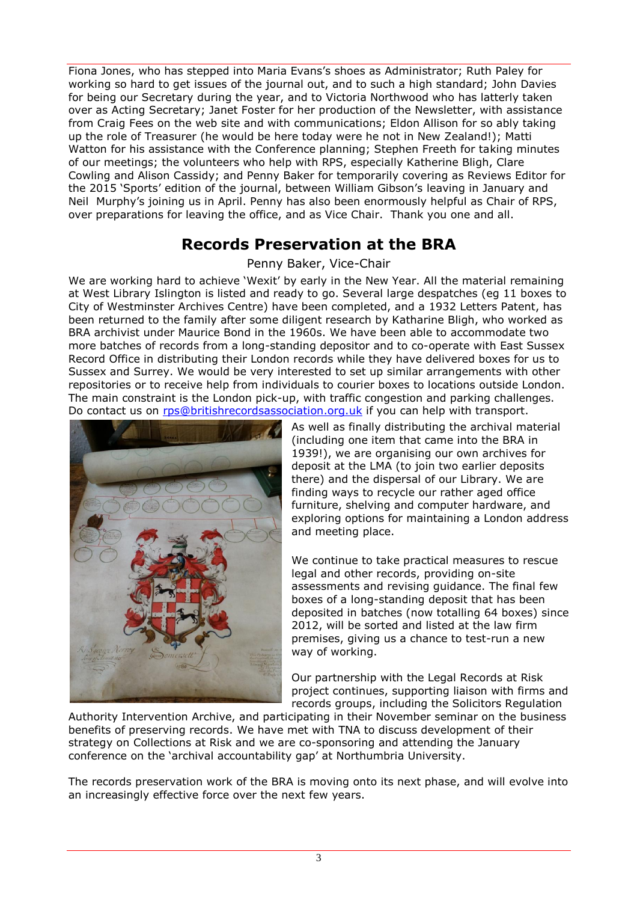Fiona Jones, who has stepped into Maria Evans's shoes as Administrator; Ruth Paley for working so hard to get issues of the journal out, and to such a high standard; John Davies for being our Secretary during the year, and to Victoria Northwood who has latterly taken over as Acting Secretary; Janet Foster for her production of the Newsletter, with assistance from Craig Fees on the web site and with communications; Eldon Allison for so ably taking up the role of Treasurer (he would be here today were he not in New Zealand!); Matti Watton for his assistance with the Conference planning; Stephen Freeth for taking minutes of our meetings; the volunteers who help with RPS, especially Katherine Bligh, Clare Cowling and Alison Cassidy; and Penny Baker for temporarily covering as Reviews Editor for the 2015 'Sports' edition of the journal, between William Gibson's leaving in January and Neil Murphy's joining us in April. Penny has also been enormously helpful as Chair of RPS, over preparations for leaving the office, and as Vice Chair. Thank you one and all.

#### **Records Preservation at the BRA**

Penny Baker, Vice-Chair

We are working hard to achieve 'Wexit' by early in the New Year. All the material remaining at West Library Islington is listed and ready to go. Several large despatches (eg 11 boxes to City of Westminster Archives Centre) have been completed, and a 1932 Letters Patent, has been returned to the family after some diligent research by Katharine Bligh, who worked as BRA archivist under Maurice Bond in the 1960s. We have been able to accommodate two more batches of records from a long-standing depositor and to co-operate with East Sussex Record Office in distributing their London records while they have delivered boxes for us to Sussex and Surrey. We would be very interested to set up similar arrangements with other repositories or to receive help from individuals to courier boxes to locations outside London. The main constraint is the London pick-up, with traffic congestion and parking challenges. Do contact us on [rps@britishrecordsassociation.org.uk](mailto:rps@britishrecordsassociation.org.uk) if you can help with transport.



As well as finally distributing the archival material (including one item that came into the BRA in 1939!), we are organising our own archives for deposit at the LMA (to join two earlier deposits there) and the dispersal of our Library. We are finding ways to recycle our rather aged office furniture, shelving and computer hardware, and exploring options for maintaining a London address and meeting place.

We continue to take practical measures to rescue legal and other records, providing on-site assessments and revising guidance. The final few boxes of a long-standing deposit that has been deposited in batches (now totalling 64 boxes) since 2012, will be sorted and listed at the law firm premises, giving us a chance to test-run a new way of working.

Our partnership with the Legal Records at Risk project continues, supporting liaison with firms and records groups, including the Solicitors Regulation

Authority Intervention Archive, and participating in their November seminar on the business benefits of preserving records. We have met with TNA to discuss development of their strategy on Collections at Risk and we are co-sponsoring and attending the January conference on the 'archival accountability gap' at Northumbria University.

The records preservation work of the BRA is moving onto its next phase, and will evolve into an increasingly effective force over the next few years.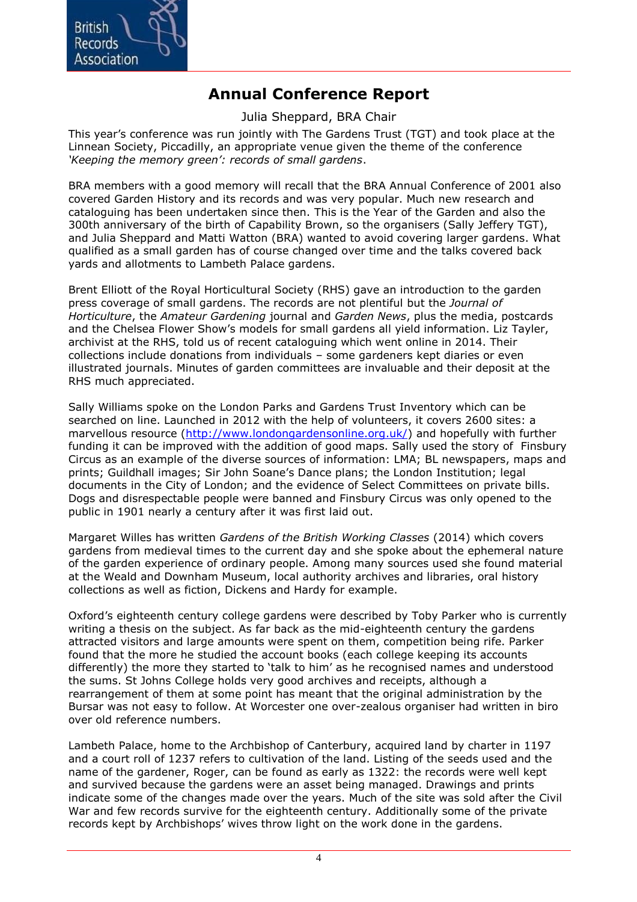

## **Annual Conference Report**

Julia Sheppard, BRA Chair

This year's conference was run jointly with The Gardens Trust (TGT) and took place at the Linnean Society, Piccadilly, an appropriate venue given the theme of the conference *'Keeping the memory green': records of small gardens*.

BRA members with a good memory will recall that the BRA Annual Conference of 2001 also covered Garden History and its records and was very popular. Much new research and cataloguing has been undertaken since then. This is the Year of the Garden and also the 300th anniversary of the birth of Capability Brown, so the organisers (Sally Jeffery TGT), and Julia Sheppard and Matti Watton (BRA) wanted to avoid covering larger gardens. What qualified as a small garden has of course changed over time and the talks covered back yards and allotments to Lambeth Palace gardens.

Brent Elliott of the Royal Horticultural Society (RHS) gave an introduction to the garden press coverage of small gardens. The records are not plentiful but the *Journal of Horticulture*, the *Amateur Gardening* journal and *Garden News*, plus the media, postcards and the Chelsea Flower Show's models for small gardens all yield information. Liz Tayler, archivist at the RHS, told us of recent cataloguing which went online in 2014. Their collections include donations from individuals – some gardeners kept diaries or even illustrated journals. Minutes of garden committees are invaluable and their deposit at the RHS much appreciated.

Sally Williams spoke on the London Parks and Gardens Trust Inventory which can be searched on line. Launched in 2012 with the help of volunteers, it covers 2600 sites: a marvellous resource [\(http://www.londongardensonline.org.uk/\)](http://www.londongardensonline.org.uk/) and hopefully with further funding it can be improved with the addition of good maps. Sally used the story of Finsbury Circus as an example of the diverse sources of information: LMA; BL newspapers, maps and prints; Guildhall images; Sir John Soane's Dance plans; the London Institution; legal documents in the City of London; and the evidence of Select Committees on private bills. Dogs and disrespectable people were banned and Finsbury Circus was only opened to the public in 1901 nearly a century after it was first laid out.

Margaret Willes has written *Gardens of the British Working Classes* (2014) which covers gardens from medieval times to the current day and she spoke about the ephemeral nature of the garden experience of ordinary people. Among many sources used she found material at the Weald and Downham Museum, local authority archives and libraries, oral history collections as well as fiction, Dickens and Hardy for example.

Oxford's eighteenth century college gardens were described by Toby Parker who is currently writing a thesis on the subject. As far back as the mid-eighteenth century the gardens attracted visitors and large amounts were spent on them, competition being rife. Parker found that the more he studied the account books (each college keeping its accounts differently) the more they started to 'talk to him' as he recognised names and understood the sums. St Johns College holds very good archives and receipts, although a rearrangement of them at some point has meant that the original administration by the Bursar was not easy to follow. At Worcester one over-zealous organiser had written in biro over old reference numbers.

Lambeth Palace, home to the Archbishop of Canterbury, acquired land by charter in 1197 and a court roll of 1237 refers to cultivation of the land. Listing of the seeds used and the name of the gardener, Roger, can be found as early as 1322: the records were well kept and survived because the gardens were an asset being managed. Drawings and prints indicate some of the changes made over the years. Much of the site was sold after the Civil War and few records survive for the eighteenth century. Additionally some of the private records kept by Archbishops' wives throw light on the work done in the gardens.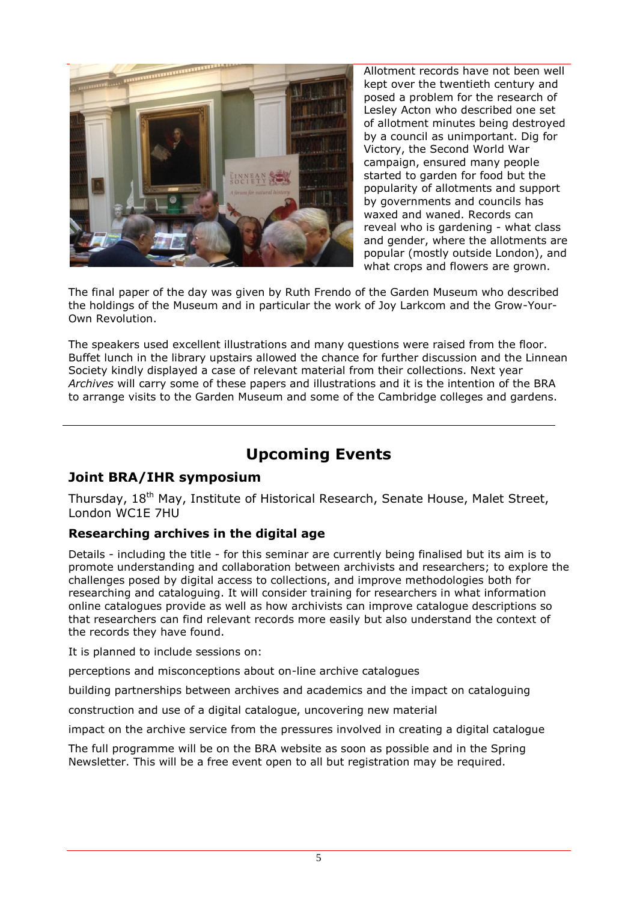

Allotment records have not been well kept over the twentieth century and posed a problem for the research of Lesley Acton who described one set of allotment minutes being destroyed by a council as unimportant. Dig for Victory, the Second World War campaign, ensured many people started to garden for food but the popularity of allotments and support by governments and councils has waxed and waned. Records can reveal who is gardening - what class and gender, where the allotments are popular (mostly outside London), and what crops and flowers are grown.

The final paper of the day was given by Ruth Frendo of the Garden Museum who described the holdings of the Museum and in particular the work of Joy Larkcom and the Grow-Your-Own Revolution.

The speakers used excellent illustrations and many questions were raised from the floor. Buffet lunch in the library upstairs allowed the chance for further discussion and the Linnean Society kindly displayed a case of relevant material from their collections. Next year *Archives* will carry some of these papers and illustrations and it is the intention of the BRA to arrange visits to the Garden Museum and some of the Cambridge colleges and gardens.

## **Upcoming Events**

#### **Joint BRA/IHR symposium**

Thursday, 18<sup>th</sup> May, Institute of Historical Research, Senate House, Malet Street, London WC1E 7HU

#### **Researching archives in the digital age**

Details - including the title - for this seminar are currently being finalised but its aim is to promote understanding and collaboration between archivists and researchers; to explore the challenges posed by digital access to collections, and improve methodologies both for researching and cataloguing. It will consider training for researchers in what information online catalogues provide as well as how archivists can improve catalogue descriptions so that researchers can find relevant records more easily but also understand the context of the records they have found.

It is planned to include sessions on:

perceptions and misconceptions about on-line archive catalogues

building partnerships between archives and academics and the impact on cataloguing

construction and use of a digital catalogue, uncovering new material

impact on the archive service from the pressures involved in creating a digital catalogue

The full programme will be on the BRA website as soon as possible and in the Spring Newsletter. This will be a free event open to all but registration may be required.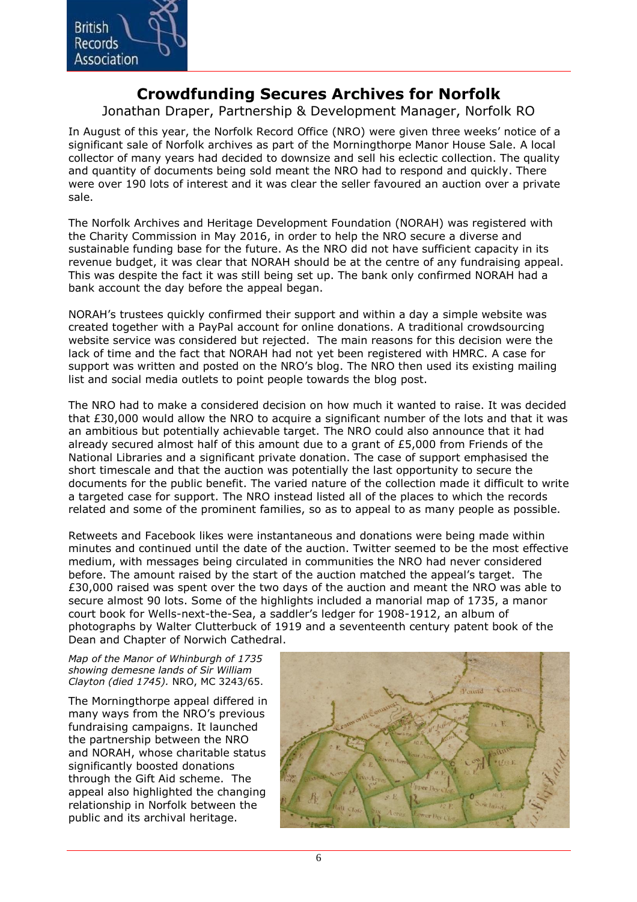

### **Crowdfunding Secures Archives for Norfolk**

Jonathan Draper, Partnership & Development Manager, Norfolk RO

In August of this year, the Norfolk Record Office (NRO) were given three weeks' notice of a significant sale of Norfolk archives as part of the Morningthorpe Manor House Sale. A local collector of many years had decided to downsize and sell his eclectic collection. The quality and quantity of documents being sold meant the NRO had to respond and quickly. There were over 190 lots of interest and it was clear the seller favoured an auction over a private sale.

The Norfolk Archives and Heritage Development Foundation (NORAH) was registered with the Charity Commission in May 2016, in order to help the NRO secure a diverse and sustainable funding base for the future. As the NRO did not have sufficient capacity in its revenue budget, it was clear that NORAH should be at the centre of any fundraising appeal. This was despite the fact it was still being set up. The bank only confirmed NORAH had a bank account the day before the appeal began.

NORAH's trustees quickly confirmed their support and within a day a simple website was created together with a PayPal account for online donations. A traditional crowdsourcing website service was considered but rejected. The main reasons for this decision were the lack of time and the fact that NORAH had not yet been registered with HMRC. A case for support was written and posted on the NRO's blog. The NRO then used its existing mailing list and social media outlets to point people towards the blog post.

The NRO had to make a considered decision on how much it wanted to raise. It was decided that £30,000 would allow the NRO to acquire a significant number of the lots and that it was an ambitious but potentially achievable target. The NRO could also announce that it had already secured almost half of this amount due to a grant of £5,000 from Friends of the National Libraries and a significant private donation. The case of support emphasised the short timescale and that the auction was potentially the last opportunity to secure the documents for the public benefit. The varied nature of the collection made it difficult to write a targeted case for support. The NRO instead listed all of the places to which the records related and some of the prominent families, so as to appeal to as many people as possible.

Retweets and Facebook likes were instantaneous and donations were being made within minutes and continued until the date of the auction. Twitter seemed to be the most effective medium, with messages being circulated in communities the NRO had never considered before. The amount raised by the start of the auction matched the appeal's target. The £30,000 raised was spent over the two days of the auction and meant the NRO was able to secure almost 90 lots. Some of the highlights included a manorial map of 1735, a manor court book for Wells-next-the-Sea, a saddler's ledger for 1908-1912, an album of photographs by Walter Clutterbuck of 1919 and a seventeenth century patent book of the Dean and Chapter of Norwich Cathedral.

*Map of the Manor of Whinburgh of 1735 showing demesne lands of Sir William Clayton (died 1745).* NRO, MC 3243/65.

The Morningthorpe appeal differed in many ways from the NRO's previous fundraising campaigns. It launched the partnership between the NRO and NORAH, whose charitable status significantly boosted donations through the Gift Aid scheme. The appeal also highlighted the changing relationship in Norfolk between the public and its archival heritage.

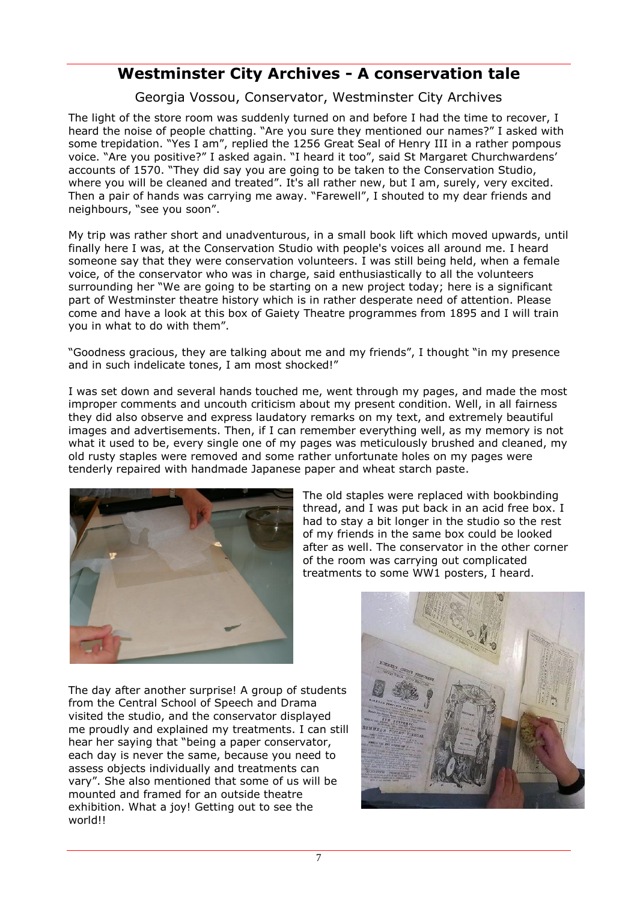## **Westminster City Archives - A conservation tale**

Georgia Vossou, Conservator, Westminster City Archives

The light of the store room was suddenly turned on and before I had the time to recover, I heard the noise of people chatting. "Are you sure they mentioned our names?" I asked with some trepidation. "Yes I am", replied the 1256 Great Seal of Henry III in a rather pompous voice. "Are you positive?" I asked again. "I heard it too", said St Margaret Churchwardens' accounts of 1570. "They did say you are going to be taken to the Conservation Studio, where you will be cleaned and treated". It's all rather new, but I am, surely, very excited. Then a pair of hands was carrying me away. "Farewell", I shouted to my dear friends and neighbours, "see you soon".

My trip was rather short and unadventurous, in a small book lift which moved upwards, until finally here I was, at the Conservation Studio with people's voices all around me. I heard someone say that they were conservation volunteers. I was still being held, when a female voice, of the conservator who was in charge, said enthusiastically to all the volunteers surrounding her "We are going to be starting on a new project today; here is a significant part of Westminster theatre history which is in rather desperate need of attention. Please come and have a look at this box of Gaiety Theatre programmes from 1895 and I will train you in what to do with them".

"Goodness gracious, they are talking about me and my friends", I thought "in my presence and in such indelicate tones, I am most shocked!"

I was set down and several hands touched me, went through my pages, and made the most improper comments and uncouth criticism about my present condition. Well, in all fairness they did also observe and express laudatory remarks on my text, and extremely beautiful images and advertisements. Then, if I can remember everything well, as my memory is not what it used to be, every single one of my pages was meticulously brushed and cleaned, my old rusty staples were removed and some rather unfortunate holes on my pages were tenderly repaired with handmade Japanese paper and wheat starch paste.



The old staples were replaced with bookbinding thread, and I was put back in an acid free box. I had to stay a bit longer in the studio so the rest of my friends in the same box could be looked after as well. The conservator in the other corner of the room was carrying out complicated treatments to some WW1 posters, I heard.

The day after another surprise! A group of students from the Central School of Speech and Drama visited the studio, and the conservator displayed me proudly and explained my treatments. I can still hear her saying that "being a paper conservator, each day is never the same, because you need to assess objects individually and treatments can vary". She also mentioned that some of us will be mounted and framed for an outside theatre exhibition. What a joy! Getting out to see the world!!

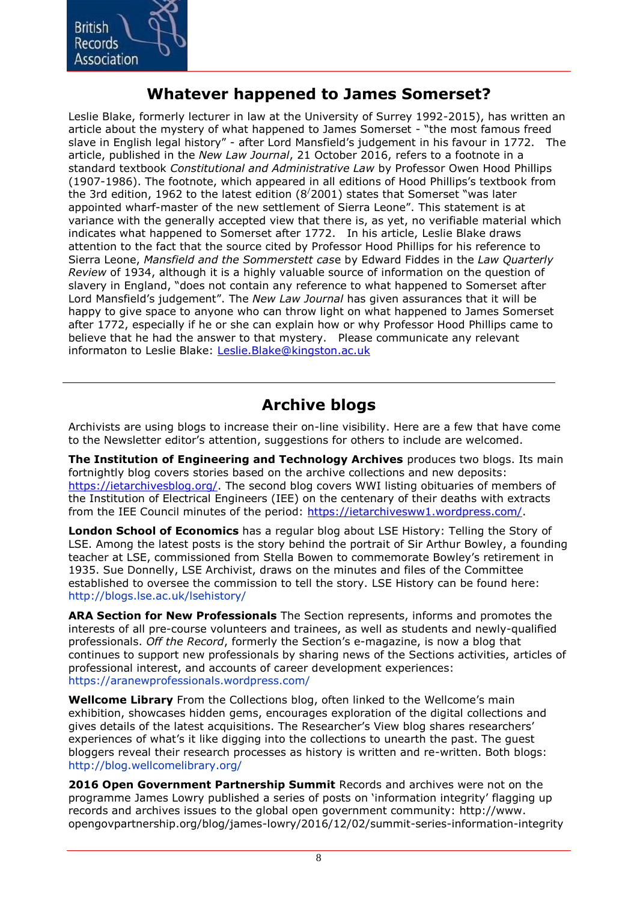

#### **Whatever happened to James Somerset?**

Leslie Blake, formerly lecturer in law at the University of Surrey 1992-2015), has written an article about the mystery of what happened to James Somerset - "the most famous freed slave in English legal history" - after Lord Mansfield's judgement in his favour in 1772. The article, published in the *New Law Journal*, 21 October 2016, refers to a footnote in a standard textbook *Constitutional and Administrative Law* by Professor Owen Hood Phillips (1907-1986). The footnote, which appeared in all editions of Hood Phillips's textbook from the 3rd edition, 1962 to the latest edition  $(8/2001)$  states that Somerset "was later appointed wharf-master of the new settlement of Sierra Leone". This statement is at variance with the generally accepted view that there is, as yet, no verifiable material which indicates what happened to Somerset after 1772. In his article, Leslie Blake draws attention to the fact that the source cited by Professor Hood Phillips for his reference to Sierra Leone, *Mansfield and the Sommerstett cas*e by Edward Fiddes in the *Law Quarterly Review* of 1934, although it is a highly valuable source of information on the question of slavery in England, "does not contain any reference to what happened to Somerset after Lord Mansfield's judgement". The *New Law Journal* has given assurances that it will be happy to give space to anyone who can throw light on what happened to James Somerset after 1772, especially if he or she can explain how or why Professor Hood Phillips came to believe that he had the answer to that mystery. Please communicate any relevant informaton to Leslie Blake: [Leslie.Blake@kingston.ac.uk](mailto:Leslie.Blake@kingston.ac.uk) 

#### **Archive blogs**

Archivists are using blogs to increase their on-line visibility. Here are a few that have come to the Newsletter editor's attention, suggestions for others to include are welcomed.

**The Institution of Engineering and Technology Archives** produces two blogs. Its main fortnightly blog covers stories based on the archive collections and new deposits: [https://ietarchivesblog.org/.](https://ietarchivesblog.org/) The second blog covers WWI listing obituaries of members of the Institution of Electrical Engineers (IEE) on the centenary of their deaths with extracts from the IEE Council minutes of the period: [https://ietarchivesww1.wordpress.com/.](https://ietarchivesww1.wordpress.com/)

**London School of Economics** has a regular blog about LSE History: Telling the Story of LSE. Among the latest posts is the story behind the portrait of Sir Arthur Bowley, a founding teacher at LSE, commissioned from Stella Bowen to commemorate Bowley's retirement in 1935. Sue Donnelly, LSE Archivist, draws on the minutes and files of the Committee established to oversee the commission to tell the story. LSE History can be found here: http://blogs.lse.ac.uk/lsehistory/

**ARA Section for New Professionals** The Section represents, informs and promotes the interests of all pre-course volunteers and trainees, as well as students and newly-qualified professionals. *Off the Record*, formerly the Section's e-magazine, is now a blog that continues to support new professionals by sharing news of the Sections activities, articles of professional interest, and accounts of career development experiences: https://aranewprofessionals.wordpress.com/

**Wellcome Library** From the Collections blog, often linked to the Wellcome's main exhibition, showcases hidden gems, encourages exploration of the digital collections and gives details of the latest acquisitions. The Researcher's View blog shares researchers' experiences of what's it like digging into the collections to unearth the past. The guest bloggers reveal their research processes as history is written and re-written. Both blogs: http://blog.wellcomelibrary.org/

**2016 Open Government Partnership Summit** Records and archives were not on the programme James Lowry published a series of posts on 'information integrity' flagging up records and archives issues to the global open government community: http://www. opengovpartnership.org/blog/james-lowry/2016/12/02/summit-series-information-integrity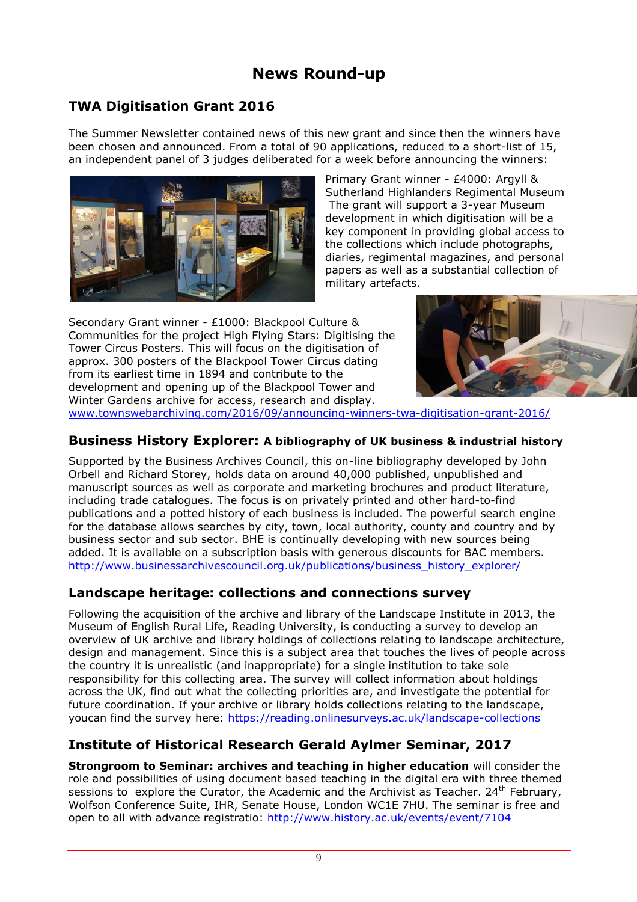## **News Round-up**

#### **TWA Digitisation Grant 2016**

The Summer Newsletter contained news of this new grant and since then the winners have been chosen and announced. From a total of 90 applications, reduced to a short-list of 15, an independent panel of 3 judges deliberated for a week before announcing the winners:



Primary Grant winner - £4000: Argyll & Sutherland Highlanders Regimental Museum The grant will support a 3-year Museum development in which digitisation will be a key component in providing global access to the collections which include photographs, diaries, regimental magazines, and personal papers as well as a substantial collection of military artefacts.

Secondary Grant winner - £1000: Blackpool Culture & Communities for the project High Flying Stars: Digitising the Tower Circus Posters. This will focus on the digitisation of approx. 300 posters of the Blackpool Tower Circus dating from its earliest time in 1894 and contribute to the development and opening up of the Blackpool Tower and Winter Gardens archive for access, research and display.



www.townswebarchiving.com/2016/09/announcing-winners-twa-digitisation-grant-2016/

#### **Business History Explorer: A bibliography of UK business & industrial history**

Supported by the Business Archives Council, this on-line bibliography developed by John Orbell and Richard Storey, holds data on around 40,000 published, unpublished and manuscript sources as well as corporate and marketing brochures and product literature, including trade catalogues. The focus is on privately printed and other hard-to-find publications and a potted history of each business is included. The powerful search engine for the database allows searches by city, town, local authority, county and country and by business sector and sub sector. BHE is continually developing with new sources being added. It is available on a subscription basis with generous discounts for BAC members. http://www.businessarchivescouncil.org.uk/publications/business\_history\_explorer/

#### **Landscape heritage: collections and connections survey**

Following the acquisition of the archive and library of the Landscape Institute in 2013, the Museum of English Rural Life, Reading University, is conducting a survey to develop an overview of UK archive and library holdings of collections relating to landscape architecture, design and management. Since this is a subject area that touches the lives of people across the country it is unrealistic (and inappropriate) for a single institution to take sole responsibility for this collecting area. The survey will collect information about holdings across the UK, find out what the collecting priorities are, and investigate the potential for future coordination. If your archive or library holds collections relating to the landscape, youcan find the survey here: <https://reading.onlinesurveys.ac.uk/landscape-collections>

#### **Institute of Historical Research Gerald Aylmer Seminar, 2017**

**Strongroom to Seminar: archives and teaching in higher education** will consider the role and possibilities of using document based teaching in the digital era with three themed sessions to explore the Curator, the Academic and the Archivist as Teacher. 24<sup>th</sup> February, Wolfson Conference Suite, IHR, Senate House, London WC1E 7HU. The seminar is free and open to all with advance registratio: http://www.history.ac.uk/events/event/7104